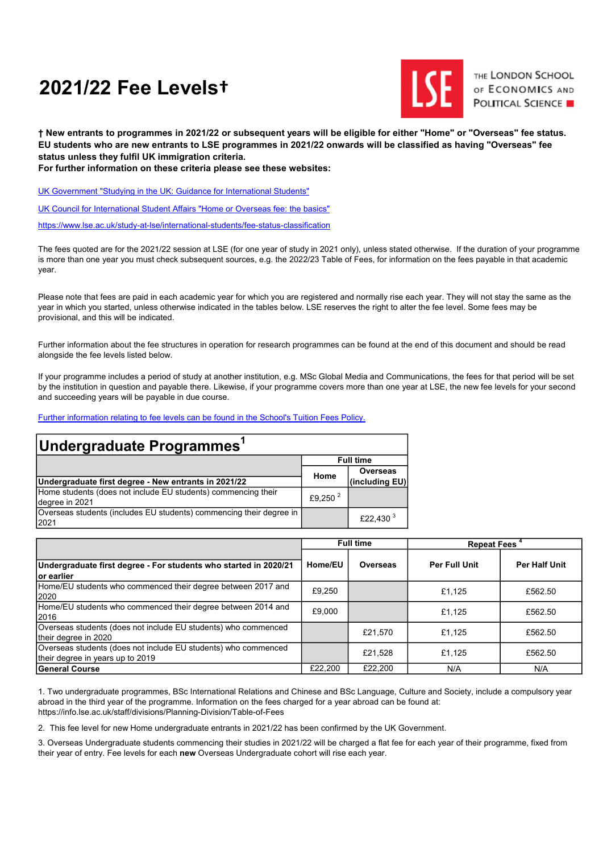# 2021/22 Fee Levels†



THE LONDON SCHOOL OF ECONOMICS AND **POLITICAL SCIENCE** 

† New entrants to programmes in 2021/22 or subsequent years will be eligible for either "Home" or "Overseas" fee status. EU students who are new entrants to LSE programmes in 2021/22 onwards will be classified as having "Overseas" fee status unless they fulfil UK immigration criteria.

For further information on these criteria please see these websites:

UK Government "Studying in the UK: Guidance for International Students"

UK Council for International Student Affairs "Home or Overseas fee: the basics"

https://www.lse.ac.uk/study-at-lse/international-students/fee-status-classification

The fees quoted are for the 2021/22 session at LSE (for one year of study in 2021 only), unless stated otherwise. If the duration of your programme is more than one year you must check subsequent sources, e.g. the 2022/23 Table of Fees, for information on the fees payable in that academic year.

Please note that fees are paid in each academic year for which you are registered and normally rise each year. They will not stay the same as the year in which you started, unless otherwise indicated in the tables below. LSE reserves the right to alter the fee level. Some fees may be provisional, and this will be indicated.

Further information about the fee structures in operation for research programmes can be found at the end of this document and should be read alongside the fee levels listed below.

If your programme includes a period of study at another institution, e.g. MSc Global Media and Communications, the fees for that period will be set by the institution in question and payable there. Likewise, if your programme covers more than one year at LSE, the new fee levels for your second and succeeding years will be payable in due course.

Further information relating to fee levels can be found in the School's Tuition Fees Policy.

| <u> Undergraduate Programmes</u> '                                              |                     |                      |  |  |  |
|---------------------------------------------------------------------------------|---------------------|----------------------|--|--|--|
|                                                                                 |                     | <b>Full time</b>     |  |  |  |
|                                                                                 | Home                | <b>Overseas</b>      |  |  |  |
| Undergraduate first degree - New entrants in 2021/22                            |                     | (including EU)       |  |  |  |
| Home students (does not include EU students) commencing their<br>degree in 2021 | £9,250 <sup>2</sup> |                      |  |  |  |
| Overseas students (includes EU students) commencing their degree in<br>2021     |                     | £22,430 <sup>3</sup> |  |  |  |

|                                                                                                    | <b>Full time</b> |                 | Repeat Fees <sup>4</sup> |               |
|----------------------------------------------------------------------------------------------------|------------------|-----------------|--------------------------|---------------|
| Undergraduate first degree - For students who started in 2020/21<br>lor earlier                    | Home/EU          | <b>Overseas</b> | <b>Per Full Unit</b>     | Per Half Unit |
| Home/EU students who commenced their degree between 2017 and<br>2020                               | £9,250           |                 | £1.125                   | £562.50       |
| Home/EU students who commenced their degree between 2014 and<br>2016                               | £9,000           |                 | £1.125                   | £562.50       |
| Overseas students (does not include EU students) who commenced<br>their degree in 2020             |                  | £21.570         | £1.125                   | £562.50       |
| Overseas students (does not include EU students) who commenced<br>their degree in years up to 2019 |                  | £21,528         | £1.125                   | £562.50       |
| <b>General Course</b>                                                                              | £22.200          | £22,200         | N/A                      | N/A           |

1. Two undergraduate programmes, BSc International Relations and Chinese and BSc Language, Culture and Society, include a compulsory year abroad in the third year of the programme. Information on the fees charged for a year abroad can be found at: https://info.lse.ac.uk/staff/divisions/Planning-Division/Table-of-Fees

2. This fee level for new Home undergraduate entrants in 2021/22 has been confirmed by the UK Government.

3. Overseas Undergraduate students commencing their studies in 2021/22 will be charged a flat fee for each year of their programme, fixed from their year of entry. Fee levels for each new Overseas Undergraduate cohort will rise each year.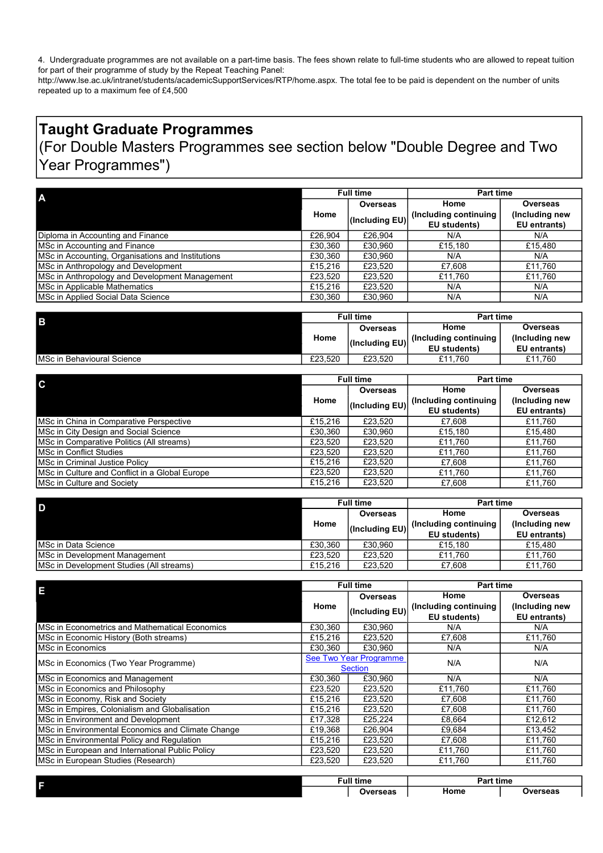4. Undergraduate programmes are not available on a part-time basis. The fees shown relate to full-time students who are allowed to repeat tuition for part of their programme of study by the Repeat Teaching Panel:

http://www.lse.ac.uk/intranet/students/academicSupportServices/RTP/home.aspx. The total fee to be paid is dependent on the number of units repeated up to a maximum fee of £4,500

# Taught Graduate Programmes (For Double Masters Programmes see section below "Double Degree and Two Year Programmes")

| A                                                 | <b>Full time</b> |                | Part time    |                        |                |
|---------------------------------------------------|------------------|----------------|--------------|------------------------|----------------|
|                                                   |                  | Overseas       | Home         | Overseas               |                |
|                                                   | Home             |                |              | (Including continuing) | (Including new |
|                                                   |                  | (Including EU) | EU students) | EU entrants)           |                |
| Diploma in Accounting and Finance                 | £26,904          | £26.904        | N/A          | N/A                    |                |
| MSc in Accounting and Finance                     | £30,360          | £30.960        | £15,180      | £15,480                |                |
| MSc in Accounting, Organisations and Institutions | £30,360          | £30.960        | N/A          | N/A                    |                |
| MSc in Anthropology and Development               | £15.216          | £23,520        | £7.608       | £11,760                |                |
| MSc in Anthropology and Development Management    | £23,520          | £23.520        | £11,760      | £11,760                |                |
| MSc in Applicable Mathematics                     | £15,216          | £23.520        | N/A          | N/A                    |                |
| MSc in Applied Social Data Science                | £30,360          | £30.960        | N/A          | N/A                    |                |

| l B                                |          | <b>Full time</b>       | <b>Part time</b>       |                |
|------------------------------------|----------|------------------------|------------------------|----------------|
|                                    | Overseas |                        | Home                   | Overseas       |
|                                    | Home     | $ $ (Including EU) $ $ | (Including continuing) | (Including new |
|                                    |          |                        | EU students)           | EU entrants)   |
| <b>IMSc in Behavioural Science</b> | £23.520  | £23.520                | £11.760                | £11.760        |

| $\mathbf C$                                    | <b>Full time</b> |                 | <b>Part time</b>       |                |
|------------------------------------------------|------------------|-----------------|------------------------|----------------|
|                                                |                  | <b>Overseas</b> | Home                   | Overseas       |
|                                                | Home             |                 | (Including continuing) | (Including new |
|                                                |                  | (Including EU)  | EU students)           | EU entrants)   |
| MSc in China in Comparative Perspective        | £15.216          | £23.520         | £7.608                 | £11,760        |
| MSc in City Design and Social Science          | £30,360          | £30.960         | £15,180                | £15,480        |
| MSc in Comparative Politics (All streams)      | £23.520          | £23.520         | £11,760                | £11,760        |
| <b>IMSc in Conflict Studies</b>                | £23.520          | £23.520         | £11.760                | £11,760        |
| MSc in Criminal Justice Policy                 | £15.216          | £23.520         | £7.608                 | £11,760        |
| MSc in Culture and Conflict in a Global Europe | £23.520          | £23.520         | £11.760                | £11,760        |
| <b>IMSc in Culture and Society</b>             | £15,216          | £23.520         | £7.608                 | £11.760        |

| D                                        |         | <b>Full time</b>   | Part time    |                        |                |
|------------------------------------------|---------|--------------------|--------------|------------------------|----------------|
|                                          |         | Overseas           | Home         | <b>Overseas</b>        |                |
|                                          | Home    |                    |              | (Including continuing) | (Including new |
|                                          |         | $ $ (Including EU) | EU students) | EU entrants)           |                |
| IMSc in Data Science                     | £30.360 | £30.960            | £15.180      | £15.480                |                |
| <b>IMSc in Development Management</b>    | £23.520 | £23.520            | £11.760      | £11.760                |                |
| MSc in Development Studies (All streams) | £15.216 | £23.520            | £7.608       | £11.760                |                |

| E                                                      | <b>Full time</b>       |                | <b>Part time</b>      |                 |
|--------------------------------------------------------|------------------------|----------------|-----------------------|-----------------|
|                                                        |                        | Overseas       | Home                  | <b>Overseas</b> |
|                                                        | Home                   | (Including EU) | (Including continuing | (Including new  |
|                                                        |                        |                | EU students)          | EU entrants)    |
| <b>IMSc in Econometrics and Mathematical Economics</b> | £30,360                | £30,960        | N/A                   | N/A             |
| MSc in Economic History (Both streams)                 | £15,216                | £23,520        | £7,608                | £11,760         |
| <b>IMSc in Economics</b>                               | £30.360                | £30.960        | N/A                   | N/A             |
| MSc in Economics (Two Year Programme)                  | See Two Year Programme |                | N/A                   | N/A             |
| <b>Section</b>                                         |                        |                |                       |                 |
| MSc in Economics and Management                        | £30,360                | £30.960        | N/A                   | N/A             |
| MSc in Economics and Philosophy                        | £23,520                | £23,520        | £11.760               | £11,760         |
| MSc in Economy, Risk and Society                       | £15,216                | £23,520        | £7,608                | £11,760         |
| MSc in Empires, Colonialism and Globalisation          | £15,216                | £23.520        | £7,608                | £11,760         |
| MSc in Environment and Development                     | £17.328                | £25.224        | £8,664                | £12,612         |
| MSc in Environmental Economics and Climate Change      | £19,368                | £26,904        | £9,684                | £13,452         |
| MSc in Environmental Policy and Regulation             | £15,216                | £23,520        | £7,608                | £11,760         |
| MSc in European and International Public Policy        | £23,520                | £23,520        | £11,760               | £11,760         |
| MSc in European Studies (Research)                     | £23,520                | £23,520        | £11,760               | £11,760         |
|                                                        |                        |                |                       |                 |

| F | <b>Full time</b>        | .<br><b>Part time</b> |          |  |
|---|-------------------------|-----------------------|----------|--|
|   | Overseas<br>- - - - - - | Home                  | Overseas |  |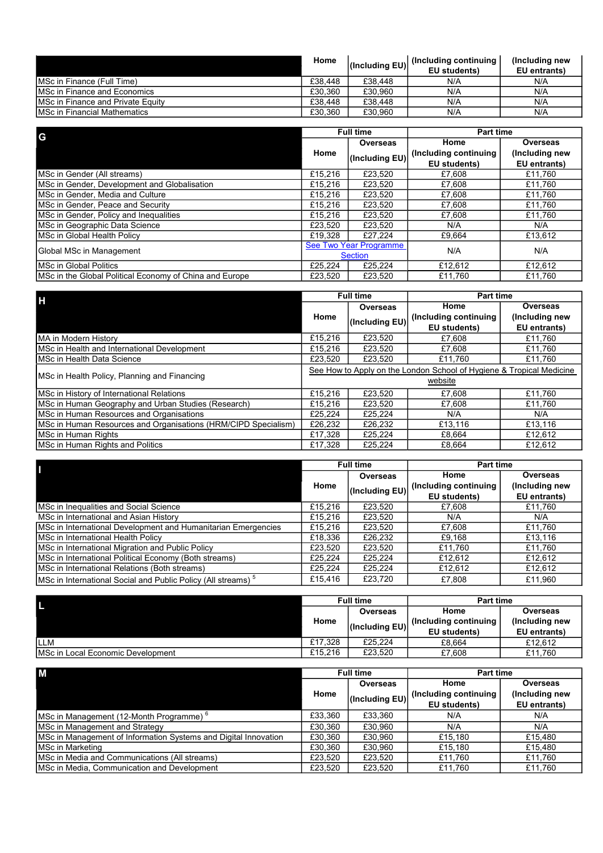|                                           | Home    | (Including EU) | (Including continuing) | (Including new |
|-------------------------------------------|---------|----------------|------------------------|----------------|
|                                           |         |                | <b>EU</b> students)    | EU entrants)   |
| IMSc in Finance (Full Time)               | £38,448 | £38,448        | N/A                    | N/A            |
| IMSc in Finance and Economics             | £30.360 | £30.960        | N/A                    | N/A            |
| <b>IMSc in Finance and Private Equity</b> | £38,448 | £38,448        | N/A                    | N/A            |
| <b>IMSc in Financial Mathematics</b>      | £30.360 | £30.960        | N/A                    | N/A            |

| G                                                       | <b>Full time</b>       |                | <b>Part time</b>       |                |
|---------------------------------------------------------|------------------------|----------------|------------------------|----------------|
|                                                         | Overseas               | Home           | Overseas               |                |
|                                                         | Home                   | (Including EU) | (Including continuing) | (Including new |
|                                                         |                        |                | EU students)           | EU entrants)   |
| MSc in Gender (All streams)                             | £15.216                | £23.520        | £7.608                 | £11.760        |
| MSc in Gender, Development and Globalisation            | £15.216                | £23.520        | £7,608                 | £11,760        |
| MSc in Gender, Media and Culture                        | £15,216                | £23,520        | £7,608                 | £11,760        |
| MSc in Gender, Peace and Security                       | £15.216                | £23,520        | £7,608                 | £11,760        |
| MSc in Gender, Policy and Inequalities                  | £15,216                | £23,520        | £7,608                 | £11,760        |
| MSc in Geographic Data Science                          | £23.520                | £23.520        | N/A                    | N/A            |
| MSc in Global Health Policy                             | £19.328                | £27.224        | £9.664                 | £13.612        |
| Global MSc in Management                                | See Two Year Programme |                | N/A                    | N/A            |
|                                                         | <b>Section</b>         |                |                        |                |
| <b>IMSc in Global Politics</b>                          | £25.224                | £25.224        | £12,612                | £12,612        |
| MSc in the Global Political Economy of China and Europe | £23.520                | £23.520        | £11.760                | £11.760        |

| П                                                              | <b>Full time</b>                                                     |              | <b>Part time</b>      |                |
|----------------------------------------------------------------|----------------------------------------------------------------------|--------------|-----------------------|----------------|
|                                                                | <b>Overseas</b>                                                      | Home         | Overseas              |                |
|                                                                | Home<br>(Including EU)                                               |              | (Including continuing | (Including new |
|                                                                |                                                                      | EU students) | EU entrants)          |                |
| <b>MA in Modern History</b>                                    | £15,216                                                              | £23.520      | £7.608                | £11,760        |
| MSc in Health and International Development                    | £15,216                                                              | £23.520      | £7.608                | £11.760        |
| MSc in Health Data Science                                     | £23.520                                                              | £23.520      | £11.760               | £11.760        |
| MSc in Health Policy, Planning and Financing                   | See How to Apply on the London School of Hygiene & Tropical Medicine |              |                       |                |
|                                                                | website                                                              |              |                       |                |
| MSc in History of International Relations                      | £15.216                                                              | £23.520      | £7,608                | £11.760        |
| MSc in Human Geography and Urban Studies (Research)            | £15.216                                                              | £23.520      | £7,608                | £11.760        |
| MSc in Human Resources and Organisations                       | £25.224                                                              | £25.224      | N/A                   | N/A            |
| MSc in Human Resources and Organisations (HRM/CIPD Specialism) | £26,232                                                              | £26,232      | £13,116               | £13,116        |
| MSc in Human Rights                                            | £17,328                                                              | £25.224      | £8.664                | £12,612        |
| MSc in Human Rights and Politics                               | £17.328                                                              | £25.224      | £8.664                | £12.612        |

|                                                                          | <b>Full time</b> |                | <b>Part time</b>       |                |
|--------------------------------------------------------------------------|------------------|----------------|------------------------|----------------|
|                                                                          | <b>Overseas</b>  |                | Home                   | Overseas       |
|                                                                          | Home             | (Including EU) | (Including continuing) | (Including new |
|                                                                          |                  |                | EU students)           | EU entrants)   |
| MSc in Inequalities and Social Science                                   | £15,216          | £23.520        | £7.608                 | £11,760        |
| MSc in International and Asian History                                   | £15.216          | £23,520        | N/A                    | N/A            |
| MSc in International Development and Humanitarian Emergencies            | £15.216          | £23.520        | £7.608                 | £11,760        |
| <b>I</b> MSc in International Health Policv                              | £18,336          | £26.232        | £9.168                 | £13,116        |
| MSc in International Migration and Public Policy                         | £23,520          | £23,520        | £11,760                | £11,760        |
| MSc in International Political Economy (Both streams)                    | £25.224          | £25.224        | £12,612                | £12,612        |
| MSc in International Relations (Both streams)                            | £25,224          | £25,224        | £12,612                | £12,612        |
| MSc in International Social and Public Policy (All streams) <sup>5</sup> | £15,416          | £23,720        | £7,808                 | £11,960        |

|                                   |          | <b>Full time</b> | <b>Part time</b>       |                |
|-----------------------------------|----------|------------------|------------------------|----------------|
|                                   | Overseas |                  | Home                   | Overseas       |
|                                   | Home     | (Including EU)   | (Including continuing) | (Including new |
|                                   |          |                  | EU students)           | EU entrants)   |
| <b>ILLM</b>                       | £17.328  | £25.224          | £8.664                 | £12.612        |
| MSc in Local Economic Development | £15.216  | £23.520          | £7.608                 | £11.760        |

| M                                                               | <b>Full time</b> |                | Part time             |                |
|-----------------------------------------------------------------|------------------|----------------|-----------------------|----------------|
|                                                                 | Home             | Overseas       | Home                  | Overseas       |
|                                                                 |                  | (Including EU) | (Including continuing | (Including new |
|                                                                 |                  |                | EU students)          | EU entrants)   |
| MSc in Management (12-Month Programme) <sup>6</sup>             | £33,360          | £33.360        | N/A                   | N/A            |
| MSc in Management and Strategy                                  | £30.360          | £30.960        | N/A                   | N/A            |
| MSc in Management of Information Systems and Digital Innovation | £30.360          | £30.960        | £15.180               | £15.480        |
| MSc in Marketing                                                | £30.360          | £30.960        | £15,180               | £15.480        |
| <b>IMSc in Media and Communications (All streams)</b>           | £23.520          | £23.520        | £11.760               | £11.760        |
| MSc in Media, Communication and Development                     | £23,520          | £23,520        | £11,760               | £11,760        |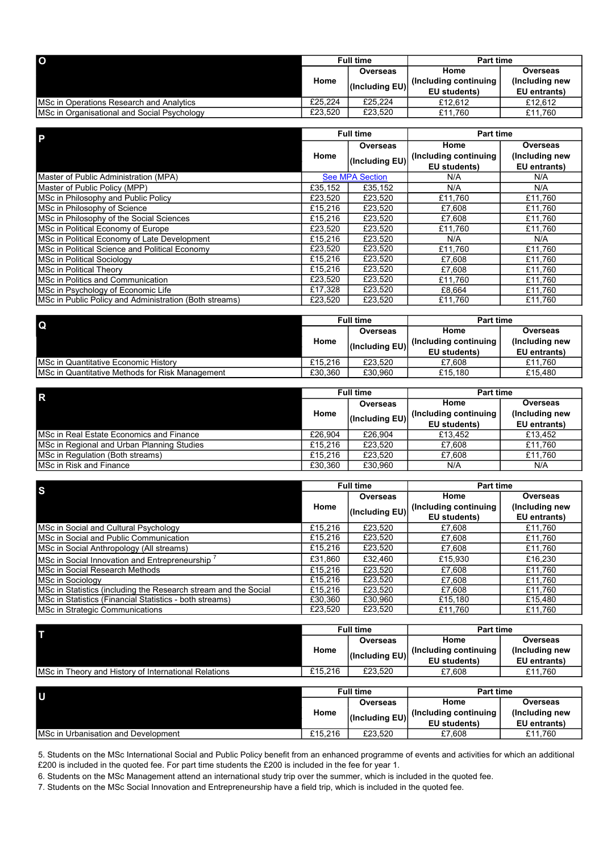| $\overline{O}$                              | <b>Full time</b>       |                        | Part time           |              |
|---------------------------------------------|------------------------|------------------------|---------------------|--------------|
|                                             | Overseas               |                        | Home                | Overseas     |
|                                             | Home<br>(Including EU) | (Including continuing) | (Including new      |              |
|                                             |                        |                        | <b>EU</b> students) | EU entrants) |
| IMSc in Operations Research and Analytics   | £25.224                | £25.224                | £12.612             | £12.612      |
| MSc in Organisational and Social Psychology | £23.520                | £23.520                | £11.760             | £11.760      |

| $\overline{P}$                                         | <b>Full time</b> |                        | <b>Part time</b>      |                 |
|--------------------------------------------------------|------------------|------------------------|-----------------------|-----------------|
|                                                        |                  | Overseas               | Home                  | <b>Overseas</b> |
|                                                        | Home             | (Including EU)         | (Including continuing | (Including new  |
|                                                        |                  |                        | EU students)          | EU entrants)    |
| Master of Public Administration (MPA)                  |                  | <b>See MPA Section</b> | N/A                   | N/A             |
| Master of Public Policy (MPP)                          | £35,152          | £35,152                | N/A                   | N/A             |
| MSc in Philosophy and Public Policy                    | £23,520          | £23,520                | £11,760               | £11,760         |
| MSc in Philosophy of Science                           | £15,216          | £23,520                | £7,608                | £11,760         |
| MSc in Philosophy of the Social Sciences               | £15,216          | £23,520                | £7,608                | £11,760         |
| MSc in Political Economy of Europe                     | £23,520          | £23,520                | £11,760               | £11,760         |
| MSc in Political Economy of Late Development           | £15,216          | £23,520                | N/A                   | N/A             |
| MSc in Political Science and Political Economy         | £23,520          | £23,520                | £11.760               | £11,760         |
| MSc in Political Sociology                             | £15,216          | £23,520                | £7,608                | £11.760         |
| MSc in Political Theory                                | £15,216          | £23,520                | £7,608                | £11,760         |
| MSc in Politics and Communication                      | £23,520          | £23,520                | £11,760               | £11,760         |
| MSc in Psychology of Economic Life                     | £17,328          | £23,520                | £8,664                | £11,760         |
| MSc in Public Policy and Administration (Both streams) | £23.520          | £23,520                | £11.760               | £11,760         |

| $\mathbf Q$                                      |         | <b>Full time</b> | <b>Part time</b>       |                |
|--------------------------------------------------|---------|------------------|------------------------|----------------|
|                                                  |         |                  | Home                   | Overseas       |
|                                                  | Home    | (Including EU)   | (Including continuing) | (Including new |
|                                                  |         |                  | EU students)           | EU entrants)   |
| IMSc in Quantitative Economic History            | £15.216 | £23.520          | £7.608                 | £11.760        |
| IMSc in Quantitative Methods for Risk Management | £30.360 | £30.960          | £15.180                | £15.480        |

| $\mathsf{R}$                               |                        | <b>Full time</b>       | Part time      |                 |
|--------------------------------------------|------------------------|------------------------|----------------|-----------------|
|                                            |                        | Overseas               | Home           | <b>Overseas</b> |
|                                            | Home<br>(Including EU) | (Including continuing) | (Including new |                 |
|                                            |                        |                        | EU students)   | EU entrants)    |
| IMSc in Real Estate Economics and Finance  | £26.904                | £26,904                | £13.452        | £13.452         |
| MSc in Regional and Urban Planning Studies | £15.216                | £23.520                | £7.608         | £11.760         |
| MSc in Regulation (Both streams)           | £15.216                | £23.520                | £7.608         | £11.760         |
| <b>I</b> MSc in Risk and Finance           | £30.360                | £30.960                | N/A            | N/A             |

| <sub>S</sub>                                                    | <b>Full time</b> |                | <b>Part time</b>       |                |
|-----------------------------------------------------------------|------------------|----------------|------------------------|----------------|
|                                                                 | <b>Overseas</b>  |                | Home                   | Overseas       |
|                                                                 | Home             | (Including EU) | (Including continuing) | (Including new |
|                                                                 |                  |                | EU students)           | EU entrants)   |
| MSc in Social and Cultural Psychology                           | £15.216          | £23.520        | £7.608                 | £11,760        |
| MSc in Social and Public Communication                          | £15,216          | £23,520        | £7,608                 | £11,760        |
| MSc in Social Anthropology (All streams)                        | £15,216          | £23,520        | £7,608                 | £11,760        |
| MSc in Social Innovation and Entrepreneurship '                 | £31,860          | £32.460        | £15,930                | £16,230        |
| <b>IMSc in Social Research Methods</b>                          | £15.216          | £23.520        | £7,608                 | £11,760        |
| <b>IMSc in Sociology</b>                                        | £15,216          | £23.520        | £7,608                 | £11.760        |
| MSc in Statistics (including the Research stream and the Social | £15,216          | £23,520        | £7.608                 | £11,760        |
| <b>MSc in Statistics (Financial Statistics - both streams)</b>  | £30,360          | £30,960        | £15,180                | £15,480        |
| MSc in Strategic Communications                                 | £23.520          | £23.520        | £11,760                | £11,760        |

| <b>Full time</b><br>Overseas |         | Part time              |                |
|------------------------------|---------|------------------------|----------------|
|                              |         | Home                   | Overseas       |
| Home                         |         | (Including continuing) | (Including new |
|                              |         | EU students)           | EU entrants)   |
| £15,216                      | £23.520 | £7.608                 | £11.760        |
|                              |         |                        | (Including EU) |

|                                     |                        | <b>Full time</b> | <b>Part time</b>      |                 |
|-------------------------------------|------------------------|------------------|-----------------------|-----------------|
|                                     | Overseas               |                  | Home                  | <b>Overseas</b> |
|                                     | Home<br>(Including EU) |                  | (Including continuing | (Including new  |
|                                     |                        |                  | EU students)          | EU entrants)    |
| MSc in Urbanisation and Development | £15,216                | £23.520          | £7.608                | £11.760         |

5. Students on the MSc International Social and Public Policy benefit from an enhanced programme of events and activities for which an additional £200 is included in the quoted fee. For part time students the £200 is included in the fee for year 1.

6. Students on the MSc Management attend an international study trip over the summer, which is included in the quoted fee.

7. Students on the MSc Social Innovation and Entrepreneurship have a field trip, which is included in the quoted fee.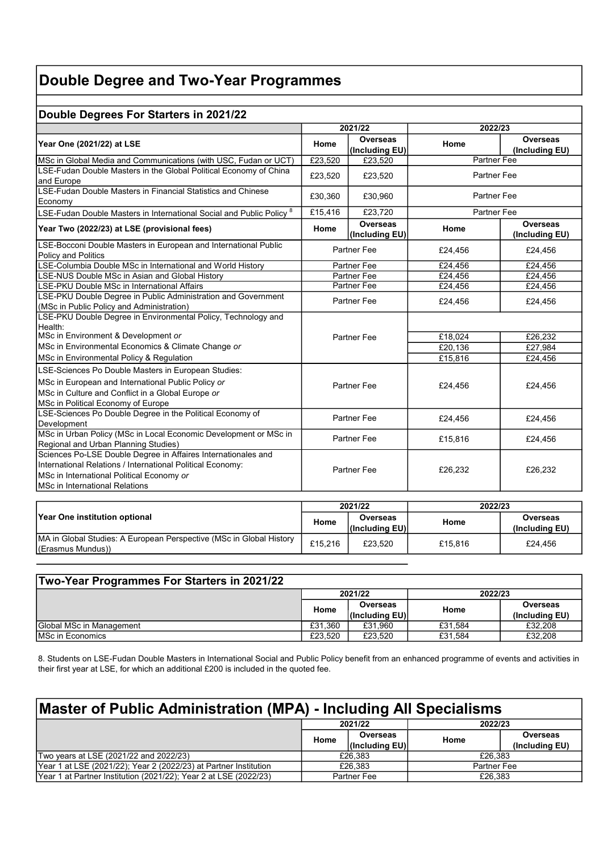# Double Degree and Two-Year Programmes

# Double Degrees For Starters in 2021/22

|                                                                                                                                                                                                            | 2021/22            |                                   | 2022/23            |                                   |  |
|------------------------------------------------------------------------------------------------------------------------------------------------------------------------------------------------------------|--------------------|-----------------------------------|--------------------|-----------------------------------|--|
| Year One (2021/22) at LSE                                                                                                                                                                                  | Home               | <b>Overseas</b><br>(Including EU) | Home               | <b>Overseas</b><br>(Including EU) |  |
| MSc in Global Media and Communications (with USC, Fudan or UCT)                                                                                                                                            | £23,520            | £23,520                           | <b>Partner Fee</b> |                                   |  |
| LSE-Fudan Double Masters in the Global Political Economy of China<br>and Europe                                                                                                                            | £23.520            | £23.520                           | <b>Partner Fee</b> |                                   |  |
| LSE-Fudan Double Masters in Financial Statistics and Chinese<br>Economy                                                                                                                                    | £30,360            | £30,960                           | Partner Fee        |                                   |  |
| LSE-Fudan Double Masters in International Social and Public Policy $^8$                                                                                                                                    | £15,416            | £23,720                           | <b>Partner Fee</b> |                                   |  |
| Year Two (2022/23) at LSE (provisional fees)                                                                                                                                                               | Home               | <b>Overseas</b><br>(Including EU) | Home               | <b>Overseas</b><br>(Including EU) |  |
| LSE-Bocconi Double Masters in European and International Public<br><b>Policy and Politics</b>                                                                                                              |                    | <b>Partner Fee</b>                | £24,456            | £24,456                           |  |
| LSE-Columbia Double MSc in International and World History                                                                                                                                                 | Partner Fee        |                                   | £24.456            | £24.456                           |  |
| LSE-NUS Double MSc in Asian and Global History                                                                                                                                                             | Partner Fee        |                                   | £24,456            | £24.456                           |  |
| LSE-PKU Double MSc in International Affairs                                                                                                                                                                | <b>Partner Fee</b> |                                   | £24,456            | £24,456                           |  |
| LSE-PKU Double Degree in Public Administration and Government<br>(MSc in Public Policy and Administration)                                                                                                 | <b>Partner Fee</b> |                                   | £24,456            | £24,456                           |  |
| LSE-PKU Double Degree in Environmental Policy, Technology and<br>Health:                                                                                                                                   | Partner Fee        |                                   |                    |                                   |  |
| MSc in Environment & Development or                                                                                                                                                                        |                    |                                   | £18,024            | £26,232                           |  |
| MSc in Environmental Economics & Climate Change or                                                                                                                                                         |                    |                                   | £20,136            | £27.984                           |  |
| MSc in Environmental Policy & Regulation                                                                                                                                                                   |                    |                                   | £15,816            | £24,456                           |  |
| LSE-Sciences Po Double Masters in European Studies:<br>MSc in European and International Public Policy or<br>MSc in Culture and Conflict in a Global Europe or<br>MSc in Political Economy of Europe       | Partner Fee        |                                   | £24,456            | £24,456                           |  |
| LSE-Sciences Po Double Degree in the Political Economy of<br>Development                                                                                                                                   | <b>Partner Fee</b> |                                   | £24,456            | £24,456                           |  |
| MSc in Urban Policy (MSc in Local Economic Development or MSc in<br>Regional and Urban Planning Studies)                                                                                                   | <b>Partner Fee</b> |                                   | £15,816            | £24,456                           |  |
| Sciences Po-LSE Double Degree in Affaires Internationales and<br>International Relations / International Political Economy:<br>MSc in International Political Economy or<br>MSc in International Relations | <b>Partner Fee</b> |                                   | £26,232            | £26,232                           |  |

|                                                                                           |         | 2021/22         | 2022/23 |                |
|-------------------------------------------------------------------------------------------|---------|-----------------|---------|----------------|
| Year One institution optional                                                             | Home    | Overseas        | Home    | Overseas       |
|                                                                                           |         | l(Including EU) |         | (Including EU) |
| JMA in Global Studies: A European Perspective (MSc in Global History<br>(Erasmus Mundus)) | £15.216 | £23.520         | £15,816 | £24.456        |

| Two-Year Programmes For Starters in 2021/22 |         |                            |         |                            |
|---------------------------------------------|---------|----------------------------|---------|----------------------------|
|                                             |         | 2021/22                    | 2022/23 |                            |
|                                             | Home    | Overseas<br>(Including EU) | Home    | Overseas<br>(Including EU) |
| Global MSc in Management                    | £31.360 | £31.960                    | £31.584 | £32,208                    |
| <b>IMSc in Economics</b>                    | £23.520 | £23.520                    | £31.584 | £32,208                    |

8. Students on LSE-Fudan Double Masters in International Social and Public Policy benefit from an enhanced programme of events and activities in their first year at LSE, for which an additional £200 is included in the quoted fee.

| Master of Public Administration (MPA) - Including All Specialisms |         |                |                    |                 |  |
|-------------------------------------------------------------------|---------|----------------|--------------------|-----------------|--|
|                                                                   | 2021/22 |                | 2022/23            |                 |  |
|                                                                   | Home    | Overseas       | Home               | <b>Overseas</b> |  |
|                                                                   |         | (Including EU) |                    | (Including EU)  |  |
| Two years at LSE (2021/22 and 2022/23)                            |         | £26,383        | £26,383            |                 |  |
| Year 1 at LSE (2021/22); Year 2 (2022/23) at Partner Institution  | £26,383 |                | <b>Partner Fee</b> |                 |  |
| Year 1 at Partner Institution (2021/22); Year 2 at LSE (2022/23)  |         | Partner Fee    | £26,383            |                 |  |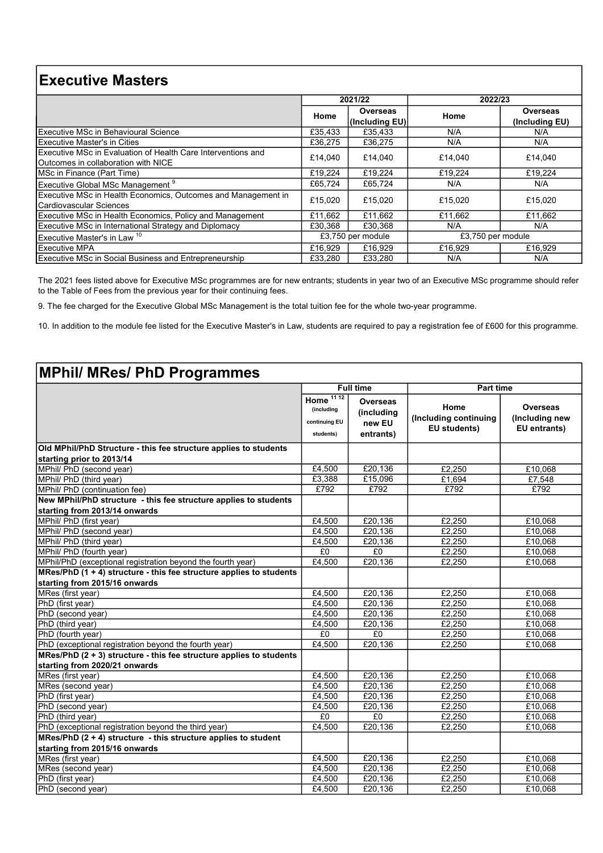# Executive Masters

|                                                                                                     | 2021/22                                |                            | 2022/23 |                            |
|-----------------------------------------------------------------------------------------------------|----------------------------------------|----------------------------|---------|----------------------------|
|                                                                                                     | Home                                   | Overseas<br>(Including EU) | Home    | Overseas<br>(Including EU) |
| Executive MSc in Behavioural Science                                                                | £35,433                                | £35.433                    | N/A     | N/A                        |
| <b>Executive Master's in Cities</b>                                                                 | £36,275                                | £36.275                    | N/A     | N/A                        |
| Executive MSc in Evaluation of Health Care Interventions and<br>Outcomes in collaboration with NICE | £14,040                                | £14.040                    | £14,040 | £14,040                    |
| MSc in Finance (Part Time)                                                                          | £19,224                                | £19.224                    | £19,224 | £19.224                    |
| Executive Global MSc Management <sup>9</sup>                                                        | £65,724                                | £65.724                    | N/A     | N/A                        |
| Executive MSc in Health Economics, Outcomes and Management in<br>Cardiovascular Sciences            | £15,020                                | £15.020                    | £15,020 | £15,020                    |
| Executive MSc in Health Economics, Policy and Management                                            | £11,662                                | £11.662                    | £11.662 | £11,662                    |
| <b>Executive MSc in International Strategy and Diplomacy</b>                                        | £30.368                                | £30.368                    | N/A     | N/A                        |
| Executive Master's in Law <sup>10</sup>                                                             | £3,750 per module<br>£3,750 per module |                            |         |                            |
| <b>Executive MPA</b>                                                                                | £16,929                                | £16.929                    | £16.929 | £16.929                    |
| <b>Executive MSc in Social Business and Entrepreneurship</b>                                        | £33.280                                | £33.280                    | N/A     | N/A                        |

The 2021 fees listed above for Executive MSc programmes are for new entrants; students in year two of an Executive MSc programme should refer to the Table of Fees from the previous year for their continuing fees.

9. The fee charged for the Executive Global MSc Management is the total tuition fee for the whole two-year programme.

10. In addition to the module fee listed for the Executive Master's in Law, students are required to pay a registration fee of £600 for this programme.

# MPhil/ MRes/ PhD Programmes

|                                                                     | <b>Full time</b>                                        |                                               | <b>Part time</b>                              |                                            |
|---------------------------------------------------------------------|---------------------------------------------------------|-----------------------------------------------|-----------------------------------------------|--------------------------------------------|
|                                                                     | Home $1112$<br>(including<br>continuing EU<br>students) | Overseas<br>(including<br>new EU<br>entrants) | Home<br>(Including continuing<br>EU students) | Overseas<br>(Including new<br>EU entrants) |
| Old MPhil/PhD Structure - this fee structure applies to students    |                                                         |                                               |                                               |                                            |
| starting prior to 2013/14                                           |                                                         |                                               |                                               |                                            |
| MPhil/ PhD (second year)                                            | £4,500                                                  | £20,136                                       | £2,250                                        | £10,068                                    |
| MPhil/ PhD (third year)                                             | £3,388                                                  | £15,096                                       | £1,694                                        | £7,548                                     |
| MPhil/ PhD (continuation fee)                                       | £792                                                    | £792                                          | £792                                          | £792                                       |
| New MPhil/PhD structure - this fee structure applies to students    |                                                         |                                               |                                               |                                            |
| starting from 2013/14 onwards                                       |                                                         |                                               |                                               |                                            |
| MPhil/ PhD (first year)                                             | £4,500                                                  | £20,136                                       | £2,250                                        | £10,068                                    |
| MPhil/ PhD (second year)                                            | £4,500                                                  | £20,136                                       | £2,250                                        | £10,068                                    |
| MPhil/ PhD (third year)                                             | £4,500                                                  | £20,136                                       | £2.250                                        | £10.068                                    |
| MPhil/ PhD (fourth year)                                            | £0                                                      | E <sub>0</sub>                                | £2.250                                        | £10,068                                    |
| MPhil/PhD (exceptional registration beyond the fourth year)         | £4,500                                                  | £20,136                                       | £2,250                                        | £10,068                                    |
| MRes/PhD (1 + 4) structure - this fee structure applies to students |                                                         |                                               |                                               |                                            |
| starting from 2015/16 onwards                                       |                                                         |                                               |                                               |                                            |
| MRes (first year)                                                   | £4,500                                                  | £20,136                                       | £2,250                                        | £10,068                                    |
| PhD (first year)                                                    | £4.500                                                  | £20.136                                       | £2.250                                        | £10,068                                    |
| PhD (second year)                                                   | £4,500                                                  | £20,136                                       | £2,250                                        | £10,068                                    |
| PhD (third year)                                                    | £4,500                                                  | £20,136                                       | £2,250                                        | £10,068                                    |
| PhD (fourth year)                                                   | £0                                                      | £0                                            | £2.250                                        | £10,068                                    |
| PhD (exceptional registration beyond the fourth year)               | £4,500                                                  | £20,136                                       | £2,250                                        | £10,068                                    |
| MRes/PhD (2 + 3) structure - this fee structure applies to students |                                                         |                                               |                                               |                                            |
| İstarting from 2020/21 onwards                                      |                                                         |                                               |                                               |                                            |
| MRes (first year)                                                   | £4,500                                                  | £20,136                                       | £2,250                                        | £10,068                                    |
| MRes (second year)                                                  | £4,500                                                  | £20.136                                       | E2,250                                        | £10,068                                    |
| PhD (first year)                                                    | £4.500                                                  | £20,136                                       | £2,250                                        | £10,068                                    |
| PhD (second year)                                                   | £4,500                                                  | £20,136                                       | £2,250                                        | £10,068                                    |
| PhD (third year)                                                    | £0                                                      | £0                                            | £2.250                                        | £10,068                                    |
| PhD (exceptional registration beyond the third year)                | £4,500                                                  | £20,136                                       | £2,250                                        | £10,068                                    |
| MRes/PhD $(2 + 4)$ structure - this structure applies to student    |                                                         |                                               |                                               |                                            |
| starting from 2015/16 onwards                                       |                                                         |                                               |                                               |                                            |
| MRes (first year)                                                   | £4,500                                                  | £20,136                                       | £2,250                                        | £10,068                                    |
| MRes (second year)                                                  | £4,500                                                  | £20.136                                       | £2,250                                        | £10,068                                    |
| PhD (first year)                                                    | £4,500                                                  | £20,136                                       | £2,250                                        | £10,068                                    |
| PhD (second year)                                                   | £4,500                                                  | E20,136                                       | £2,250                                        | £10,068                                    |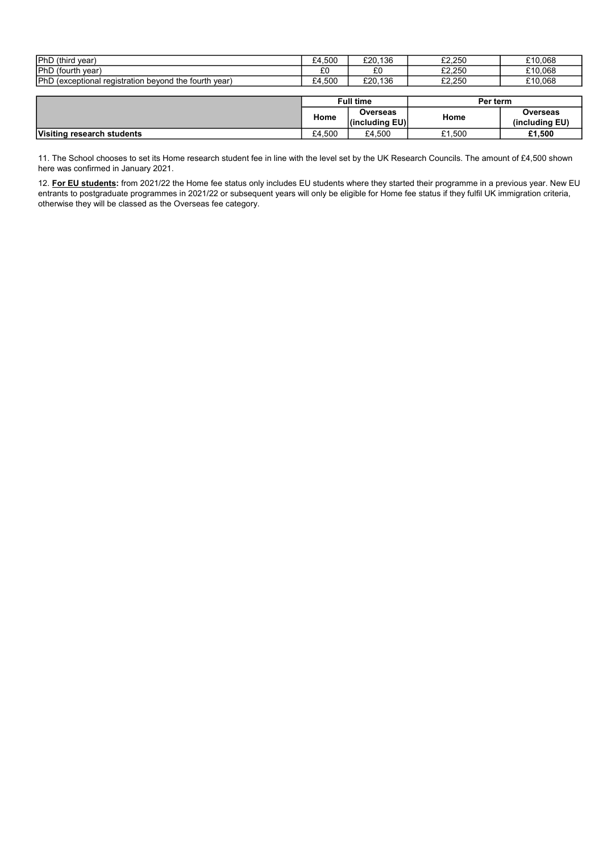| <b>IPhD</b><br>(third<br>vear                                                                 | .500<br>ົ<br>-4 | 136<br>£20.  | £2.250           | £10.068 |
|-----------------------------------------------------------------------------------------------|-----------------|--------------|------------------|---------|
| <b>IPhD</b><br>(fourth year)                                                                  | $\sim$<br>LU.   | $\sim$<br>⊥∪ | よう つらい<br>LZ.ZJU | £10,068 |
| <b>IPhD</b><br>: fourth<br>the<br>vear<br><i>(exceptional</i> )<br>i registration<br>bevona י | .500<br>۰4      | .136<br>£20. | よう つらい<br>LZ.ZJU | £10.068 |

|                            | <b>Full time</b> |                            | Per term |                                   |
|----------------------------|------------------|----------------------------|----------|-----------------------------------|
|                            | Home             | Overseas<br>(including EU) | Home     | <b>Overseas</b><br>(including EU) |
| Visiting research students | £4.500           | £4,500                     | £1.500   | £1,500                            |

11. The School chooses to set its Home research student fee in line with the level set by the UK Research Councils. The amount of £4,500 shown here was confirmed in January 2021.

12. For EU students: from 2021/22 the Home fee status only includes EU students where they started their programme in a previous year. New EU entrants to postgraduate programmes in 2021/22 or subsequent years will only be eligible for Home fee status if they fulfil UK immigration criteria, otherwise they will be classed as the Overseas fee category.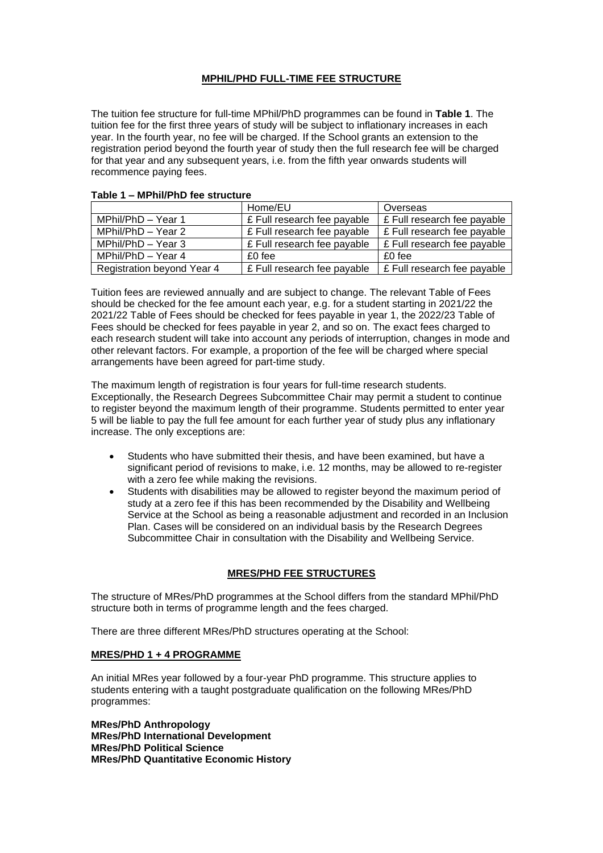## **MPHIL/PHD FULL-TIME FEE STRUCTURE**

The tuition fee structure for full-time MPhil/PhD programmes can be found in **Table 1**. The tuition fee for the first three years of study will be subject to inflationary increases in each year. In the fourth year, no fee will be charged. If the School grants an extension to the registration period beyond the fourth year of study then the full research fee will be charged for that year and any subsequent years, i.e. from the fifth year onwards students will recommence paying fees.

|                                   | Home/EU                     | Overseas                    |
|-----------------------------------|-----------------------------|-----------------------------|
| MPhil/PhD - Year 1                | £ Full research fee payable | E Full research fee payable |
| MPhil/PhD - Year 2                | £ Full research fee payable | E Full research fee payable |
| MPhil/PhD - Year 3                | £ Full research fee payable | E Full research fee payable |
| MPhil/PhD - Year 4                | $£0$ fee                    | £0 fee                      |
| <b>Registration beyond Year 4</b> | £ Full research fee payable | £ Full research fee payable |

#### **Table 1 – MPhil/PhD fee structure**

Tuition fees are reviewed annually and are subject to change. The relevant Table of Fees should be checked for the fee amount each year, e.g. for a student starting in 2021/22 the 2021/22 Table of Fees should be checked for fees payable in year 1, the 2022/23 Table of Fees should be checked for fees payable in year 2, and so on. The exact fees charged to each research student will take into account any periods of interruption, changes in mode and other relevant factors. For example, a proportion of the fee will be charged where special arrangements have been agreed for part-time study.

The maximum length of registration is four years for full-time research students. Exceptionally, the Research Degrees Subcommittee Chair may permit a student to continue to register beyond the maximum length of their programme. Students permitted to enter year 5 will be liable to pay the full fee amount for each further year of study plus any inflationary increase. The only exceptions are:

- Students who have submitted their thesis, and have been examined, but have a significant period of revisions to make, i.e. 12 months, may be allowed to re-register with a zero fee while making the revisions.
- Students with disabilities may be allowed to register beyond the maximum period of study at a zero fee if this has been recommended by the Disability and Wellbeing Service at the School as being a reasonable adjustment and recorded in an Inclusion Plan. Cases will be considered on an individual basis by the Research Degrees Subcommittee Chair in consultation with the Disability and Wellbeing Service.

### **MRES/PHD FEE STRUCTURES**

The structure of MRes/PhD programmes at the School differs from the standard MPhil/PhD structure both in terms of programme length and the fees charged.

There are three different MRes/PhD structures operating at the School:

### **MRES/PHD 1 + 4 PROGRAMME**

An initial MRes year followed by a four-year PhD programme. This structure applies to students entering with a taught postgraduate qualification on the following MRes/PhD programmes:

**MRes/PhD Anthropology MRes/PhD International Development MRes/PhD Political Science MRes/PhD Quantitative Economic History**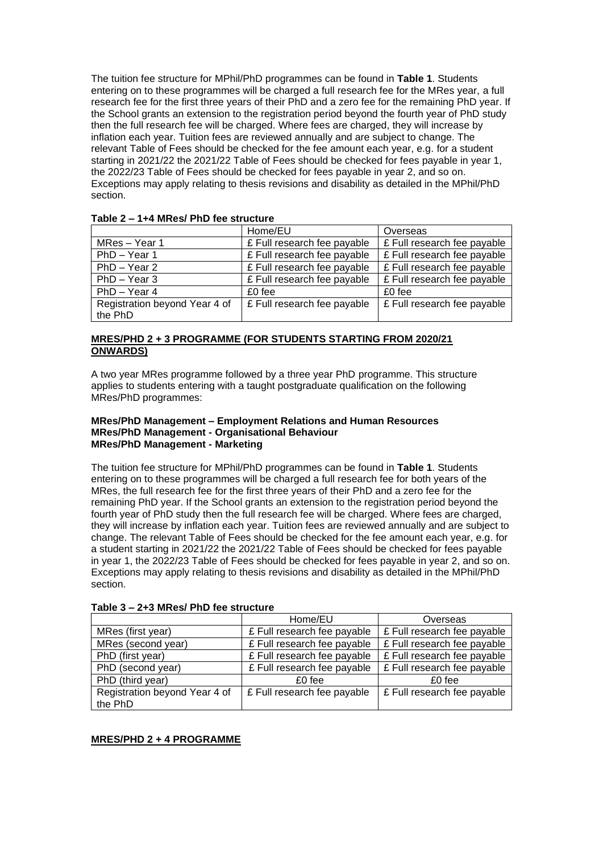The tuition fee structure for MPhil/PhD programmes can be found in **Table 1**. Students entering on to these programmes will be charged a full research fee for the MRes year, a full research fee for the first three years of their PhD and a zero fee for the remaining PhD year. If the School grants an extension to the registration period beyond the fourth year of PhD study then the full research fee will be charged. Where fees are charged, they will increase by inflation each year. Tuition fees are reviewed annually and are subject to change. The relevant Table of Fees should be checked for the fee amount each year, e.g. for a student starting in 2021/22 the 2021/22 Table of Fees should be checked for fees payable in year 1, the 2022/23 Table of Fees should be checked for fees payable in year 2, and so on. Exceptions may apply relating to thesis revisions and disability as detailed in the MPhil/PhD section.

| .                             |                             |                             |
|-------------------------------|-----------------------------|-----------------------------|
|                               | Home/EU                     | Overseas                    |
| MRes - Year 1                 | £ Full research fee payable | £ Full research fee payable |
| PhD - Year 1                  | £ Full research fee payable | £ Full research fee payable |
| $PhD - Year2$                 | £ Full research fee payable | £ Full research fee payable |
| $PhD - Year$ 3                | £ Full research fee payable | £ Full research fee payable |
| PhD - Year 4                  | £0 fee                      | £0 fee                      |
| Registration beyond Year 4 of | £ Full research fee payable | £ Full research fee payable |
| the PhD                       |                             |                             |

# **Table 2 – 1+4 MRes/ PhD fee structure**

### **MRES/PHD 2 + 3 PROGRAMME (FOR STUDENTS STARTING FROM 2020/21 ONWARDS)**

A two year MRes programme followed by a three year PhD programme. This structure applies to students entering with a taught postgraduate qualification on the following MRes/PhD programmes:

### **MRes/PhD Management – Employment Relations and Human Resources MRes/PhD Management - Organisational Behaviour MRes/PhD Management - Marketing**

The tuition fee structure for MPhil/PhD programmes can be found in **Table 1**. Students entering on to these programmes will be charged a full research fee for both years of the MRes, the full research fee for the first three years of their PhD and a zero fee for the remaining PhD year. If the School grants an extension to the registration period beyond the fourth year of PhD study then the full research fee will be charged. Where fees are charged, they will increase by inflation each year. Tuition fees are reviewed annually and are subject to change. The relevant Table of Fees should be checked for the fee amount each year, e.g. for a student starting in 2021/22 the 2021/22 Table of Fees should be checked for fees payable in year 1, the 2022/23 Table of Fees should be checked for fees payable in year 2, and so on. Exceptions may apply relating to thesis revisions and disability as detailed in the MPhil/PhD section.

|                               | Home/EU                     | Overseas                    |
|-------------------------------|-----------------------------|-----------------------------|
| MRes (first year)             | £ Full research fee payable | £ Full research fee payable |
| MRes (second year)            | £ Full research fee payable | £ Full research fee payable |
| PhD (first year)              | £ Full research fee payable | £ Full research fee payable |
| PhD (second year)             | £ Full research fee payable | £ Full research fee payable |
| PhD (third year)              | £0 fee                      | £0 fee                      |
| Registration beyond Year 4 of | £ Full research fee payable | £ Full research fee payable |
| the PhD                       |                             |                             |

**Table 3 – 2+3 MRes/ PhD fee structure**

### **MRES/PHD 2 + 4 PROGRAMME**